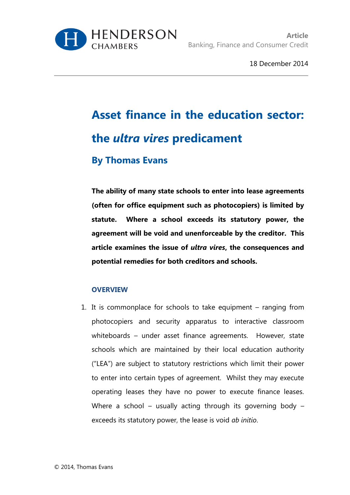

18 December 2014

# **Asset finance in the education sector: the** *ultra vires* **predicament By Thomas Evans**

**The ability of many state schools to enter into lease agreements (often for office equipment such as photocopiers) is limited by statute. Where a school exceeds its statutory power, the agreement will be void and unenforceable by the creditor. This article examines the issue of** *ultra vires***, the consequences and potential remedies for both creditors and schools.**

### **OVERVIEW**

1. It is commonplace for schools to take equipment – ranging from photocopiers and security apparatus to interactive classroom whiteboards – under asset finance agreements. However, state schools which are maintained by their local education authority ("LEA") are subject to statutory restrictions which limit their power to enter into certain types of agreement. Whilst they may execute operating leases they have no power to execute finance leases. Where a school – usually acting through its governing body – exceeds its statutory power, the lease is void *ab initio*.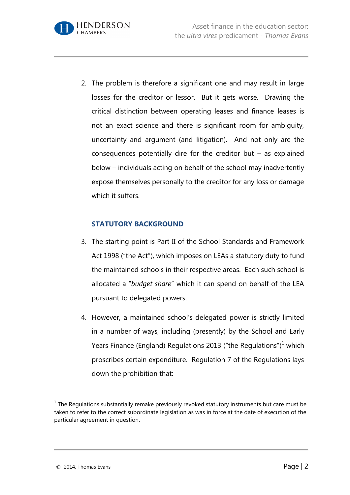2. The problem is therefore a significant one and may result in large losses for the creditor or lessor. But it gets worse. Drawing the critical distinction between operating leases and finance leases is not an exact science and there is significant room for ambiguity, uncertainty and argument (and litigation). And not only are the consequences potentially dire for the creditor but – as explained below – individuals acting on behalf of the school may inadvertently expose themselves personally to the creditor for any loss or damage which it suffers.

# **STATUTORY BACKGROUND**

**HENDERSON** 

CHAMRERS

- 3. The starting point is Part II of the School Standards and Framework Act 1998 ("the Act"), which imposes on LEAs a statutory duty to fund the maintained schools in their respective areas. Each such school is allocated a "*budget share*" which it can spend on behalf of the LEA pursuant to delegated powers.
- 4. However, a maintained school's delegated power is strictly limited in a number of ways, including (presently) by the School and Early Years Finance (England) Regulations 2013 ("the Regulations")<sup>1</sup> which proscribes certain expenditure. Regulation 7 of the Regulations lays down the prohibition that:

 $<sup>1</sup>$  The Regulations substantially remake previously revoked statutory instruments but care must be</sup> taken to refer to the correct subordinate legislation as was in force at the date of execution of the particular agreement in question.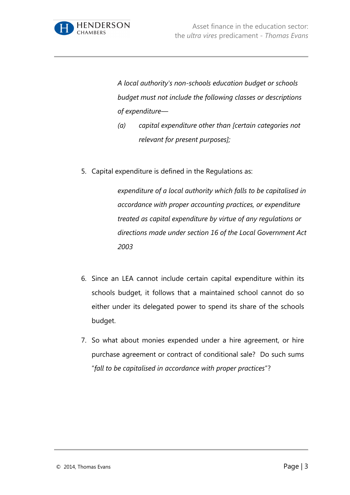

*A local authority's non-schools education budget or schools budget must not include the following classes or descriptions of expenditure—*

- *(a) capital expenditure other than [certain categories not relevant for present purposes];*
- 5. Capital expenditure is defined in the Regulations as:

*expenditure of a local authority which falls to be capitalised in accordance with proper accounting practices, or expenditure treated as capital expenditure by virtue of any regulations or directions made under section 16 of the Local Government Act 2003*

- 6. Since an LEA cannot include certain capital expenditure within its schools budget, it follows that a maintained school cannot do so either under its delegated power to spend its share of the schools budget.
- 7. So what about monies expended under a hire agreement, or hire purchase agreement or contract of conditional sale? Do such sums "*fall to be capitalised in accordance with proper practices*"?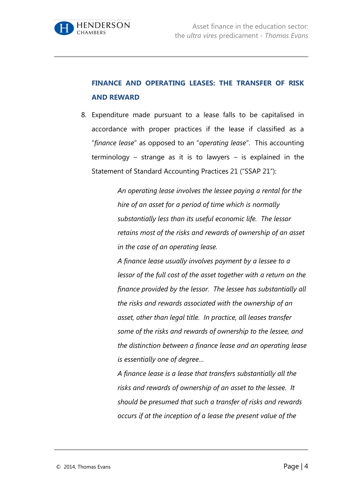

# **FINANCE AND OPERATING LEASES: THE TRANSFER OF RISK AND REWARD**

8. Expenditure made pursuant to a lease falls to be capitalised in accordance with proper practices if the lease if classified as a "*finance lease*" as opposed to an "*operating lease*". This accounting terminology – strange as it is to lawyers – is explained in the Statement of Standard Accounting Practices 21 ("SSAP 21"):

> *An operating lease involves the lessee paying a rental for the hire of an asset for a period of time which is normally substantially less than its useful economic life. The lessor retains most of the risks and rewards of ownership of an asset in the case of an operating lease.*

*A finance lease usually involves payment by a lessee to a lessor of the full cost of the asset together with a return on the finance provided by the lessor. The lessee has substantially all the risks and rewards associated with the ownership of an asset, other than legal title. In practice, all leases transfer some of the risks and rewards of ownership to the lessee, and the distinction between a finance lease and an operating lease is essentially one of degree…*

*A finance lease is a lease that transfers substantially all the risks and rewards of ownership of an asset to the lessee. It should be presumed that such a transfer of risks and rewards occurs if at the inception of a lease the present value of the*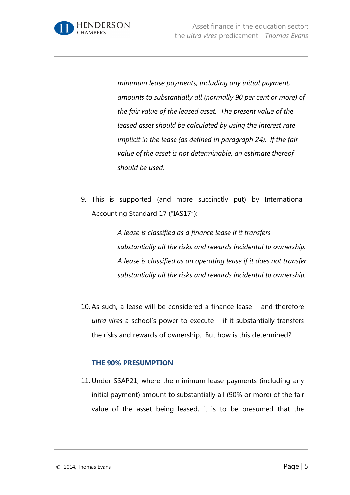

*minimum lease payments, including any initial payment, amounts to substantially all (normally 90 per cent or more) of the fair value of the leased asset. The present value of the leased asset should be calculated by using the interest rate implicit in the lease (as defined in paragraph 24). If the fair value of the asset is not determinable, an estimate thereof should be used.*

9. This is supported (and more succinctly put) by International Accounting Standard 17 ("IAS17"):

> *A lease is classified as a finance lease if it transfers substantially all the risks and rewards incidental to ownership. A lease is classified as an operating lease if it does not transfer substantially all the risks and rewards incidental to ownership.*

10. As such, a lease will be considered a finance lease – and therefore *ultra vires* a school's power to execute – if it substantially transfers the risks and rewards of ownership. But how is this determined?

#### **THE 90% PRESUMPTION**

11. Under SSAP21, where the minimum lease payments (including any initial payment) amount to substantially all (90% or more) of the fair value of the asset being leased, it is to be presumed that the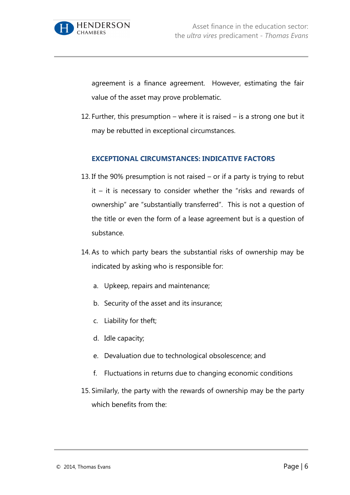

agreement is a finance agreement. However, estimating the fair value of the asset may prove problematic.

12. Further, this presumption – where it is raised – is a strong one but it may be rebutted in exceptional circumstances.

#### **EXCEPTIONAL CIRCUMSTANCES: INDICATIVE FACTORS**

- 13. If the 90% presumption is not raised or if a party is trying to rebut  $it - it$  is necessary to consider whether the "risks and rewards of ownership" are "substantially transferred". This is not a question of the title or even the form of a lease agreement but is a question of substance.
- 14. As to which party bears the substantial risks of ownership may be indicated by asking who is responsible for:
	- a. Upkeep, repairs and maintenance;
	- b. Security of the asset and its insurance;
	- c. Liability for theft;
	- d. Idle capacity;
	- e. Devaluation due to technological obsolescence; and
	- f. Fluctuations in returns due to changing economic conditions
- 15. Similarly, the party with the rewards of ownership may be the party which benefits from the: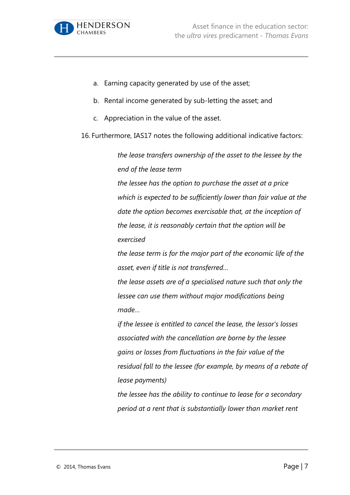

- a. Earning capacity generated by use of the asset;
- b. Rental income generated by sub-letting the asset; and
- c. Appreciation in the value of the asset.

16. Furthermore, IAS17 notes the following additional indicative factors:

*the lease transfers ownership of the asset to the lessee by the end of the lease term*

*the lessee has the option to purchase the asset at a price which is expected to be sufficiently lower than fair value at the date the option becomes exercisable that, at the inception of the lease, it is reasonably certain that the option will be exercised*

*the lease term is for the major part of the economic life of the asset, even if title is not transferred…*

*the lease assets are of a specialised nature such that only the lessee can use them without major modifications being made…*

*if the lessee is entitled to cancel the lease, the lessor's losses associated with the cancellation are borne by the lessee gains or losses from fluctuations in the fair value of the residual fall to the lessee (for example, by means of a rebate of lease payments)*

*the lessee has the ability to continue to lease for a secondary period at a rent that is substantially lower than market rent*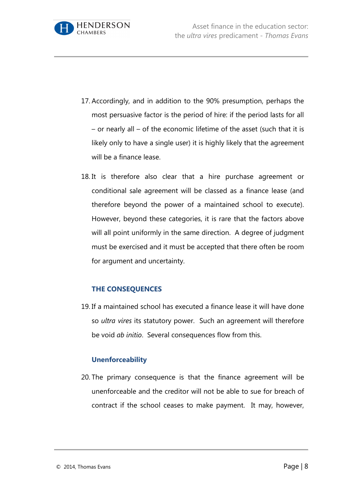

- 17. Accordingly, and in addition to the 90% presumption, perhaps the most persuasive factor is the period of hire: if the period lasts for all – or nearly all – of the economic lifetime of the asset (such that it is likely only to have a single user) it is highly likely that the agreement will be a finance lease.
- 18. It is therefore also clear that a hire purchase agreement or conditional sale agreement will be classed as a finance lease (and therefore beyond the power of a maintained school to execute). However, beyond these categories, it is rare that the factors above will all point uniformly in the same direction. A degree of judgment must be exercised and it must be accepted that there often be room for argument and uncertainty.

### **THE CONSEQUENCES**

19. If a maintained school has executed a finance lease it will have done so *ultra vires* its statutory power. Such an agreement will therefore be void *ab initio*. Several consequences flow from this.

### **Unenforceability**

20. The primary consequence is that the finance agreement will be unenforceable and the creditor will not be able to sue for breach of contract if the school ceases to make payment. It may, however,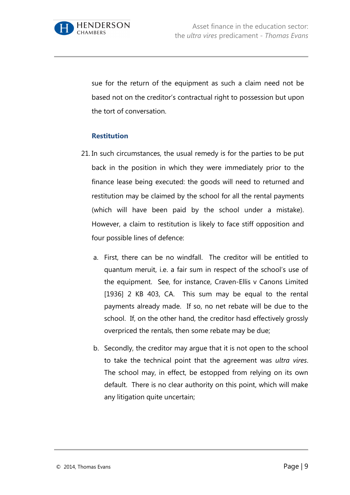

sue for the return of the equipment as such a claim need not be based not on the creditor's contractual right to possession but upon the tort of conversation.

#### **Restitution**

- 21. In such circumstances, the usual remedy is for the parties to be put back in the position in which they were immediately prior to the finance lease being executed: the goods will need to returned and restitution may be claimed by the school for all the rental payments (which will have been paid by the school under a mistake). However, a claim to restitution is likely to face stiff opposition and four possible lines of defence:
	- a. First, there can be no windfall. The creditor will be entitled to quantum meruit, i.e. a fair sum in respect of the school's use of the equipment. See, for instance, Craven-Ellis v Canons Limited [1936] 2 KB 403, CA. This sum may be equal to the rental payments already made. If so, no net rebate will be due to the school. If, on the other hand, the creditor hasd effectively grossly overpriced the rentals, then some rebate may be due;
	- b. Secondly, the creditor may argue that it is not open to the school to take the technical point that the agreement was *ultra vires*. The school may, in effect, be estopped from relying on its own default. There is no clear authority on this point, which will make any litigation quite uncertain;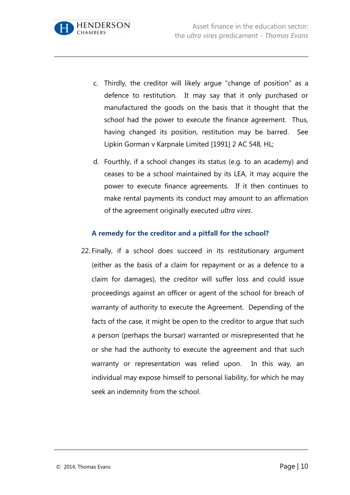

- c. Thirdly, the creditor will likely argue "change of position" as a defence to restitution. It may say that it only purchased or manufactured the goods on the basis that it thought that the school had the power to execute the finance agreement. Thus, having changed its position, restitution may be barred. See Lipkin Gorman v Karpnale Limited [1991] 2 AC 548, HL;
- d. Fourthly, if a school changes its status (e.g. to an academy) and ceases to be a school maintained by its LEA, it may acquire the power to execute finance agreements. If it then continues to make rental payments its conduct may amount to an affirmation of the agreement originally executed *ultra vires*.

# **A remedy for the creditor and a pitfall for the school?**

22. Finally, if a school does succeed in its restitutionary argument (either as the basis of a claim for repayment or as a defence to a claim for damages), the creditor will suffer loss and could issue proceedings against an officer or agent of the school for breach of warranty of authority to execute the Agreement. Depending of the facts of the case, it might be open to the creditor to argue that such a person (perhaps the bursar) warranted or misrepresented that he or she had the authority to execute the agreement and that such warranty or representation was relied upon. In this way, an individual may expose himself to personal liability, for which he may seek an indemnity from the school.